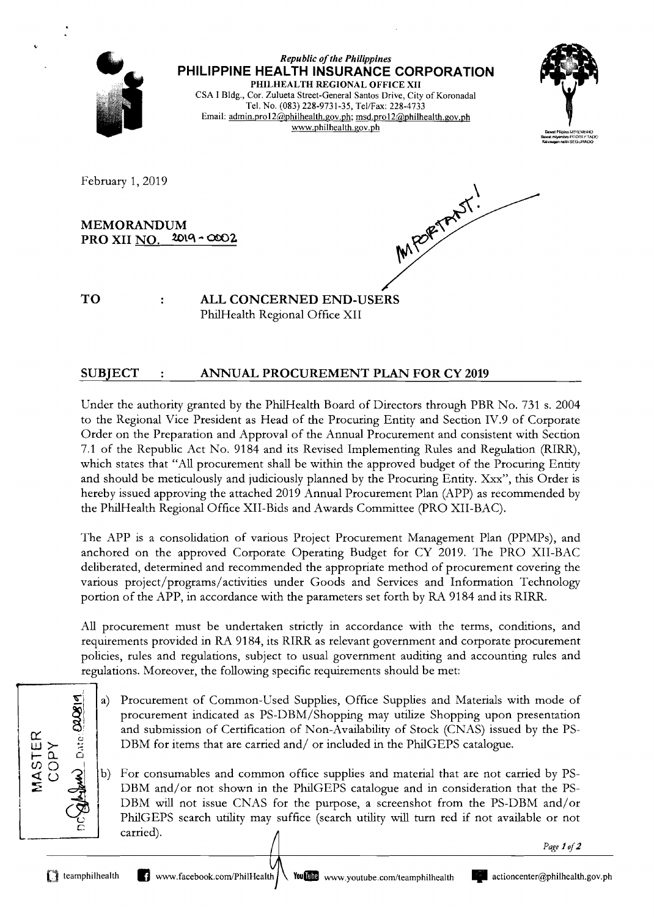

### SUBJECT : ANNUAL PROCUREMENT PLAN FOR CY 2019

Under the authority granted by the PhilHealth Board of Directors through PBR No. 731 s. 2004 to the Regional Vice President as Head of the Procuring Entity and Section IV.9 of Corporate Order on the Preparation and Approval of the Annual Procurement and consistent with Section 7.1 of the Republic Act No. 9184 and its Revised Implementing Rules and Regulation (RIRR), which states that "All procurement shall be within the approved budget of the Procuring Entity and should be meticulously and judiciously planned by the Procuring Entity. Xxx", this Order is hereby issued approving the attached 2019 Annual Procurement Plan (APP) as recommended by the PhilHealth Regional Office XII-Bids and Awards Committee (PRO XII-BAC).

The APP is a consolidation of various Project Procurement Management Plan (PPMPs), and anchored on the approved Corporate Operating Budget for CY 2019. The PRO XII-BAC deliberated, determined and recommended the appropriate method of procurement covering the various project/programs/activities under Goods and Services and Information Technology portion of the APP, in accordance with the parameters set forth by RA 9184 and its RIRR.

All procurement must be undertaken strictly in accordance with the terms, conditions, and requirements provided in RA 9184, its RIRR as relevant government and corporate procurement policies, rules and regulations, subject to usual government auditing and accounting rules and regulations. Moreover, the following specific requirements should be met:

- Procurement of Common-Used Supplies, Office Supplies and Materials with mode of  $a)$ procurement indicated as PS-DBM/Shopping may utilize Shopping upon presentation and submission of Certification of Non-Availability of Stock (CNAS) issued by the PS-DBM for items that are carried and/ or included in the PhilGEPS catalogue.
- For consumables and common office supplies and material that are not carried by PS-DBM and/or not shown in the PhilGEPS catalogue and in consideration that the PS-DBM will not issue CNAS for the purpose, a screenshot from the PS-DBM and/or PhilGEPS search utility may suffice (search utility will turn red if not available or not carried).

*Page 1 of2* 

 $\omega$  Date  $\Omega$ 819

**MASTER** OPY

,.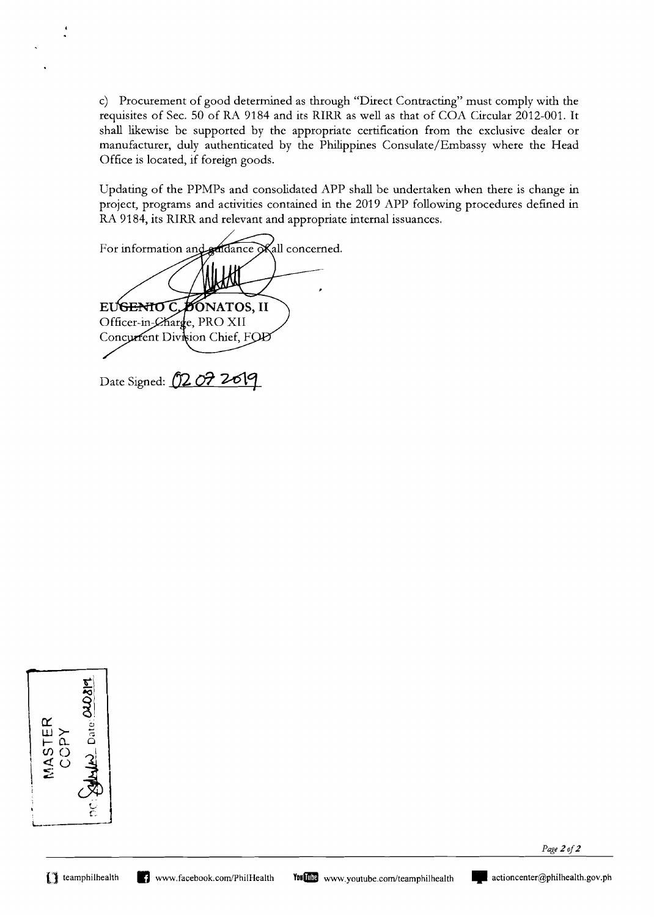c) Procurement of good determined as through "Direct Contracting" must comply with the requisites of Sec. 50 of RA 9184 and its RIRR as well as that of COA Circular 2012-001. It shall likewise be supported by the appropriate certification from the exclusive dealer or manufacturer, duly authenticated by the Philippines Consulate/Embassy where the Head Office is located, if foreign goods.

Updating of the PPMPs and consolidated APP shall be undertaken when there is change in project, programs and activities contained in the 2019 APP following procedures defined in RA 9184, its RIRR and relevant and appropriate internal issuances.

For information and addance okall concerned. **EUGENIOC 30**NATOS, II Officer-in-Charge, PRO XII Concurrent Division Chief, FOD

Date Signed: **02 07 2619** 

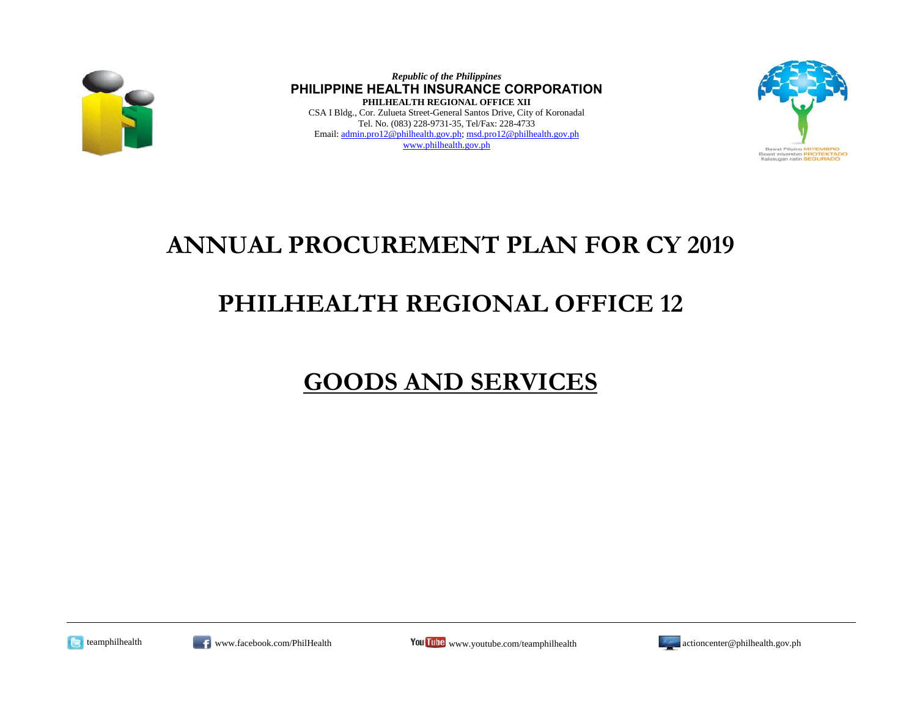

*Republic of the Philippines* **PHILIPPINE HEALTH INSURANCE CORPORATION PHILHEALTH REGIONAL OFFICE XII** CSA I Bldg., Cor. Zulueta Street-General Santos Drive, City of Koronadal Tel. No. (083) 228-9731-35, Tel/Fax: 228-4733 Email: admin.pro12@philhealth.gov.ph; msd.pro12@philhealth.gov.ph www.philhealth.gov.ph



### **ANNUAL PROCUREMENT PLAN FOR CY 2019**

## **PHILHEALTH REGIONAL OFFICE 12**

# **GOODS AND SERVICES**







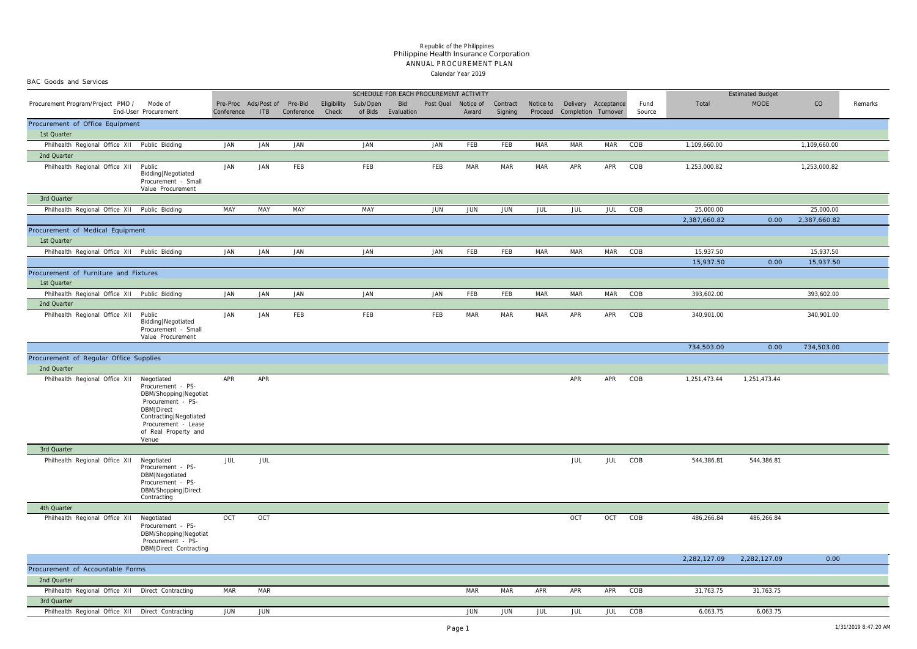BAC Goods and Services

#### Calendar Year 2019 ANNUAL PROCUREMENT PLAN Philippine Health Insurance Corporation *Republic of the Philippines*

| SCHEDULE FOR EACH PROCUREMENT ACTIVITY               |                                                                                                                                                                 |                                            |            |            |       |                      |                           |                     |            |                     |            |                                                              | <b>Estimated Budget</b> |                |              |              |              |         |
|------------------------------------------------------|-----------------------------------------------------------------------------------------------------------------------------------------------------------------|--------------------------------------------|------------|------------|-------|----------------------|---------------------------|---------------------|------------|---------------------|------------|--------------------------------------------------------------|-------------------------|----------------|--------------|--------------|--------------|---------|
| Procurement Program/Project PMO /                    | Mode of<br>End-User Procurement                                                                                                                                 | Pre-Proc Ads/Post of Pre-Bid<br>Conference | ITB        | Conference | Check | Eligibility Sub/Open | Bid<br>of Bids Evaluation | Post Qual Notice of | Award      | Contract<br>Signing |            | Notice to Delivery Acceptance<br>Proceed Completion Turnover |                         | Fund<br>Source | Total        | <b>MOOE</b>  | CO           | Remarks |
| Procurement of Office Equipment                      |                                                                                                                                                                 |                                            |            |            |       |                      |                           |                     |            |                     |            |                                                              |                         |                |              |              |              |         |
| 1st Quarter                                          |                                                                                                                                                                 |                                            |            |            |       |                      |                           |                     |            |                     |            |                                                              |                         |                |              |              |              |         |
| Philhealth Regional Office XII Public Bidding        |                                                                                                                                                                 | <b>JAN</b>                                 | <b>JAN</b> | <b>JAN</b> |       | <b>JAN</b>           |                           | <b>JAN</b>          | FEB        | FEB                 | <b>MAR</b> | <b>MAR</b>                                                   | <b>MAR</b>              | COB            | 1,109,660.00 |              | 1,109,660.00 |         |
| 2nd Quarter                                          |                                                                                                                                                                 |                                            |            |            |       |                      |                           |                     |            |                     |            |                                                              |                         |                |              |              |              |         |
| Philhealth Regional Office XII Public                | Bidding   Negotiated<br>Procurement - Small<br>Value Procurement                                                                                                | JAN                                        | JAN        | FEB        |       | FEB                  |                           | FEB                 | MAR        | MAR                 | MAR        | APR                                                          | APR                     | COB            | 1,253,000.82 |              | 1,253,000.82 |         |
| 3rd Quarter                                          |                                                                                                                                                                 |                                            |            |            |       |                      |                           |                     |            |                     |            |                                                              |                         |                |              |              |              |         |
| Philhealth Regional Office XII Public Bidding        |                                                                                                                                                                 | MAY                                        | MAY        | MAY        |       | MAY                  |                           | JUN                 | JUN        | JUN                 | JUL        | JUL                                                          | JUL                     | COB            | 25,000.00    |              | 25,000.00    |         |
|                                                      |                                                                                                                                                                 |                                            |            |            |       |                      |                           |                     |            |                     |            |                                                              |                         |                | 2,387,660.82 | 0.00         | 2,387,660.82 |         |
| Procurement of Medical Equipment<br>1st Quarter      |                                                                                                                                                                 |                                            |            |            |       |                      |                           |                     |            |                     |            |                                                              |                         |                |              |              |              |         |
| Philhealth Regional Office XII Public Bidding        |                                                                                                                                                                 | JAN                                        | JAN        | JAN        |       | JAN                  |                           | JAN                 | FEB        | FEB                 | MAR        | MAR                                                          | MAR                     | COB            | 15,937.50    |              | 15,937.50    |         |
|                                                      |                                                                                                                                                                 |                                            |            |            |       |                      |                           |                     |            |                     |            |                                                              |                         |                | 15,937.50    | 0.00         | 15,937.50    |         |
| Procurement of Furniture and Fixtures<br>1st Quarter |                                                                                                                                                                 |                                            |            |            |       |                      |                           |                     |            |                     |            |                                                              |                         |                |              |              |              |         |
| Philhealth Regional Office XII Public Bidding        |                                                                                                                                                                 | JAN                                        | <b>JAN</b> | JAN        |       | <b>JAN</b>           |                           | <b>JAN</b>          | FEB        | FEB                 | <b>MAR</b> | MAR                                                          | MAR                     | COB            | 393,602.00   |              | 393,602.00   |         |
| 2nd Quarter                                          |                                                                                                                                                                 |                                            |            |            |       |                      |                           |                     |            |                     |            |                                                              |                         |                |              |              |              |         |
| Philhealth Regional Office XII Public                | Bidding   Negotiated<br>Procurement - Small<br>Value Procurement                                                                                                | JAN                                        | JAN        | FEB        |       | FEB                  |                           | FEB                 | MAR        | MAR                 | MAR        | APR                                                          | APR                     | COB            | 340,901.00   |              | 340,901.00   |         |
|                                                      |                                                                                                                                                                 |                                            |            |            |       |                      |                           |                     |            |                     |            |                                                              |                         |                | 734,503.00   | 0.00         | 734,503.00   |         |
| Procurement of Regular Office Supplies               |                                                                                                                                                                 |                                            |            |            |       |                      |                           |                     |            |                     |            |                                                              |                         |                |              |              |              |         |
| 2nd Quarter                                          |                                                                                                                                                                 |                                            |            |            |       |                      |                           |                     |            |                     |            |                                                              |                         |                |              |              |              |         |
| Philhealth Regional Office XII Negotiated            | Procurement - PS-<br>DBM/Shopping Negotiat<br>Procurement - PS-<br>DBM Direct<br>Contracting Negotiated<br>Procurement - Lease<br>of Real Property and<br>Venue | APR                                        | APR        |            |       |                      |                           |                     |            |                     |            | APR                                                          | APR                     | COB            | 1,251,473.44 | 1,251,473.44 |              |         |
| 3rd Quarter                                          |                                                                                                                                                                 |                                            |            |            |       |                      |                           |                     |            |                     |            |                                                              |                         |                |              |              |              |         |
| Philhealth Regional Office XII                       | Negotiated<br>Procurement - PS-<br>DBM Negotiated<br>Procurement - PS-<br>DBM/Shopping   Direct<br>Contracting                                                  | JUL                                        | JUL        |            |       |                      |                           |                     |            |                     |            | JUL                                                          | JUL                     | COB            | 544,386.81   | 544,386.81   |              |         |
| 4th Quarter                                          |                                                                                                                                                                 |                                            |            |            |       |                      |                           |                     |            |                     |            |                                                              |                         |                |              |              |              |         |
| Philhealth Regional Office XII                       | Negotiated<br>Procurement - PS-<br>DBM/Shopping Negotiat<br>Procurement - PS-<br>DBM Direct Contracting                                                         | OCT                                        | OCT        |            |       |                      |                           |                     |            |                     |            | OCT                                                          | OCT                     | COB            | 486,266.84   | 486,266.84   |              |         |
|                                                      |                                                                                                                                                                 |                                            |            |            |       |                      |                           |                     |            |                     |            |                                                              |                         |                | 2,282,127.09 | 2,282,127.09 | 0.00         |         |
|                                                      | Procurement of Accountable Forms                                                                                                                                |                                            |            |            |       |                      |                           |                     |            |                     |            |                                                              |                         |                |              |              |              |         |
| 2nd Quarter                                          |                                                                                                                                                                 |                                            |            |            |       |                      |                           |                     |            |                     |            |                                                              |                         |                |              |              |              |         |
| Philhealth Regional Office XII Direct Contracting    |                                                                                                                                                                 | <b>MAR</b>                                 | <b>MAR</b> |            |       |                      |                           |                     | <b>MAR</b> | <b>MAR</b>          | APR        | APR                                                          | APR                     | COB            | 31,763.75    | 31,763.75    |              |         |
| 3rd Quarter                                          |                                                                                                                                                                 |                                            |            |            |       |                      |                           |                     |            |                     |            |                                                              |                         |                |              |              |              |         |
| Philhealth Regional Office XII Direct Contracting    |                                                                                                                                                                 | JUN                                        | JUN        |            |       |                      |                           |                     | JUN        | JUN                 | JUL        | JUL                                                          | <b>JUL</b>              | COB            | 6,063.75     | 6,063.75     |              |         |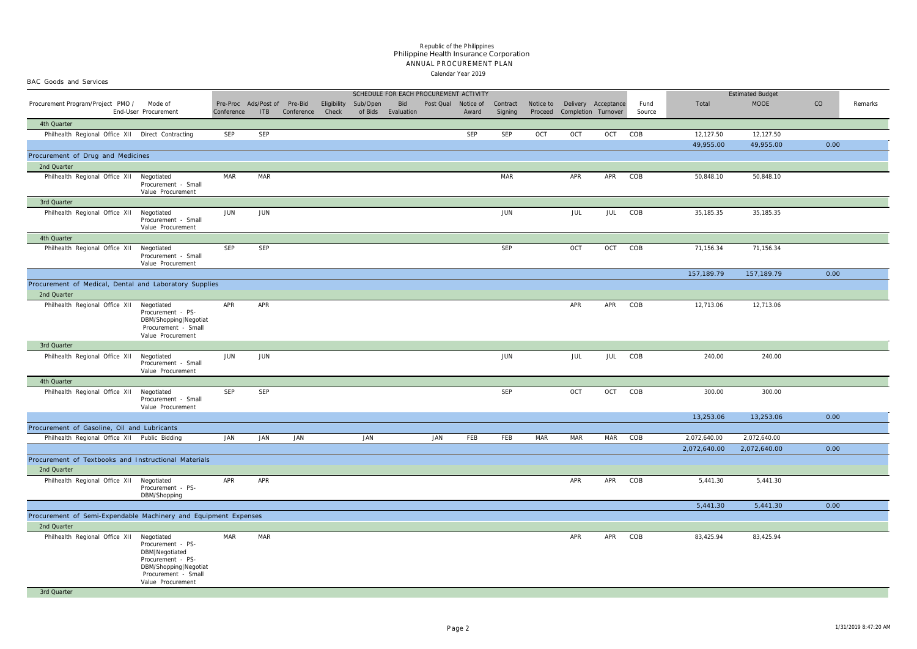#### Calendar Year 2019 ANNUAL PROCUREMENT PLAN Philippine Health Insurance Corporation *Republic of the Philippines*

| BAC Goods and Services<br>SCHEDULE FOR EACH PROCUREMENT ACTIVITY      |                                                                                                                               |            |                                     |            |       |                      |                           |                     |       |                     |            |                                                              |            |                |              |                         |      |         |
|-----------------------------------------------------------------------|-------------------------------------------------------------------------------------------------------------------------------|------------|-------------------------------------|------------|-------|----------------------|---------------------------|---------------------|-------|---------------------|------------|--------------------------------------------------------------|------------|----------------|--------------|-------------------------|------|---------|
|                                                                       |                                                                                                                               |            |                                     |            |       |                      |                           |                     |       |                     |            |                                                              |            |                |              | <b>Estimated Budget</b> |      |         |
| Procurement Program/Project PMO / Mode of                             | End-User Procurement                                                                                                          | Conference | Pre-Proc Ads/Post of Pre-Bid<br>ITB | Conference | Check | Eligibility Sub/Open | Bid<br>of Bids Evaluation | Post Qual Notice of | Award | Contract<br>Signing |            | Notice to Delivery Acceptance<br>Proceed Completion Turnover |            | Fund<br>Source | Total        | <b>MOOE</b>             | CO   | Remarks |
| 4th Quarter                                                           |                                                                                                                               |            |                                     |            |       |                      |                           |                     |       |                     |            |                                                              |            |                |              |                         |      |         |
| Philhealth Regional Office XII Direct Contracting                     |                                                                                                                               | SEP        | SEP                                 |            |       |                      |                           |                     | SEP   | SEP                 | OCT        | OCT                                                          | OCT COB    |                | 12,127.50    | 12,127.50               |      |         |
|                                                                       |                                                                                                                               |            |                                     |            |       |                      |                           |                     |       |                     |            |                                                              |            |                | 49,955.00    | 49,955.00               | 0.00 |         |
| Procurement of Drug and Medicines                                     |                                                                                                                               |            |                                     |            |       |                      |                           |                     |       |                     |            |                                                              |            |                |              |                         |      |         |
| 2nd Quarter                                                           |                                                                                                                               |            |                                     |            |       |                      |                           |                     |       |                     |            |                                                              |            |                |              |                         |      |         |
| Philhealth Regional Office XII Negotiated                             | Procurement - Small<br>Value Procurement                                                                                      | MAR        | MAR                                 |            |       |                      |                           |                     |       | MAR                 |            | APR                                                          | APR        | COB            | 50,848.10    | 50,848.10               |      |         |
| 3rd Quarter                                                           |                                                                                                                               |            |                                     |            |       |                      |                           |                     |       |                     |            |                                                              |            |                |              |                         |      |         |
| Philhealth Regional Office XII Negotiated                             | Procurement - Small<br>Value Procurement                                                                                      | JUN        | JUN                                 |            |       |                      |                           |                     |       | JUN                 |            | JUL                                                          | JUL        | COB            | 35,185.35    | 35,185.35               |      |         |
| 4th Quarter                                                           |                                                                                                                               |            |                                     |            |       |                      |                           |                     |       |                     |            |                                                              |            |                |              |                         |      |         |
| Philhealth Regional Office XII Negotiated                             | Procurement - Small<br>Value Procurement                                                                                      | <b>SEP</b> | SEP                                 |            |       |                      |                           |                     |       | SEP                 |            | OCT                                                          | OCT        | COB            | 71,156.34    | 71,156.34               |      |         |
|                                                                       |                                                                                                                               |            |                                     |            |       |                      |                           |                     |       |                     |            |                                                              |            |                | 157,189.79   | 157,189.79              | 0.00 |         |
| Procurement of Medical, Dental and Laboratory Supplies<br>2nd Quarter |                                                                                                                               |            |                                     |            |       |                      |                           |                     |       |                     |            |                                                              |            |                |              |                         |      |         |
| Philhealth Regional Office XII Negotiated                             | Procurement - PS-<br>DBM/Shopping Negotiat<br>Procurement - Small<br>Value Procurement                                        | APR        | APR                                 |            |       |                      |                           |                     |       |                     |            | APR                                                          | APR        | COB            | 12,713.06    | 12,713.06               |      |         |
| 3rd Quarter                                                           |                                                                                                                               |            |                                     |            |       |                      |                           |                     |       |                     |            |                                                              |            |                |              |                         |      |         |
| Philhealth Regional Office XII                                        | Negotiated<br>Procurement - Small<br>Value Procurement                                                                        | JUN        | JUN                                 |            |       |                      |                           |                     |       | JUN                 |            | JUL                                                          | JUL        | COB            | 240.00       | 240.00                  |      |         |
| 4th Quarter                                                           |                                                                                                                               |            |                                     |            |       |                      |                           |                     |       |                     |            |                                                              |            |                |              |                         |      |         |
| Philhealth Regional Office XII Negotiated                             | Procurement - Small<br>Value Procurement                                                                                      | SEP        | <b>SEP</b>                          |            |       |                      |                           |                     |       | SEP                 |            | OCT                                                          | OCT        | COB            | 300.00       | 300.00                  |      |         |
|                                                                       |                                                                                                                               |            |                                     |            |       |                      |                           |                     |       |                     |            |                                                              |            |                | 13,253.06    | 13,253.06               | 0.00 |         |
| Procurement of Gasoline, Oil and Lubricants                           |                                                                                                                               |            |                                     |            |       |                      |                           |                     |       |                     |            |                                                              |            |                |              |                         |      |         |
| Philhealth Regional Office XII Public Bidding                         |                                                                                                                               | JAN        | JAN                                 | JAN        |       | JAN                  |                           | JAN                 | FEB   | FEB                 | <b>MAR</b> | <b>MAR</b>                                                   | <b>MAR</b> | COB            | 2,072,640.00 | 2,072,640.00            |      |         |
|                                                                       |                                                                                                                               |            |                                     |            |       |                      |                           |                     |       |                     |            |                                                              |            |                | 2,072,640.00 | 2,072,640.00            | 0.00 |         |
| Procurement of Textbooks and Instructional Materials<br>2nd Quarter   |                                                                                                                               |            |                                     |            |       |                      |                           |                     |       |                     |            |                                                              |            |                |              |                         |      |         |
| Philhealth Regional Office XII Negotiated                             | Procurement - PS-<br>DBM/Shopping                                                                                             | APR        | APR                                 |            |       |                      |                           |                     |       |                     |            | APR                                                          | APR COB    |                | 5,441.30     | 5,441.30                |      |         |
|                                                                       |                                                                                                                               |            |                                     |            |       |                      |                           |                     |       |                     |            |                                                              |            |                | 5,441.30     | 5,441.30                | 0.00 |         |
| Procurement of Semi-Expendable Machinery and Equipment Expenses       |                                                                                                                               |            |                                     |            |       |                      |                           |                     |       |                     |            |                                                              |            |                |              |                         |      |         |
| 2nd Quarter                                                           |                                                                                                                               |            |                                     |            |       |                      |                           |                     |       |                     |            |                                                              |            |                |              |                         |      |         |
| Philhealth Regional Office XII Negotiated                             | Procurement - PS-<br>DBM Negotiated<br>Procurement - PS-<br>DBM/Shopping Negotiat<br>Procurement - Small<br>Value Procurement | <b>MAR</b> | <b>MAR</b>                          |            |       |                      |                           |                     |       |                     |            | APR                                                          | APR COB    |                | 83,425.94    | 83,425.94               |      |         |
| 3rd Quarter                                                           |                                                                                                                               |            |                                     |            |       |                      |                           |                     |       |                     |            |                                                              |            |                |              |                         |      |         |
|                                                                       |                                                                                                                               |            |                                     |            |       |                      |                           |                     |       |                     |            |                                                              |            |                |              |                         |      |         |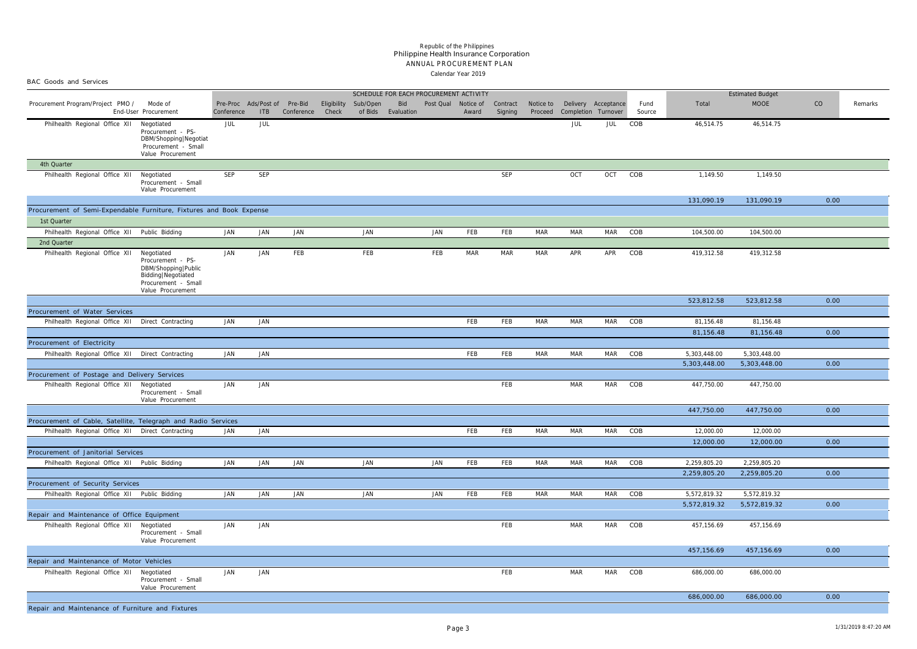BAC Goods and Services

#### Calendar Year 2019 ANNUAL PROCUREMENT PLAN Philippine Health Insurance Corporation *Republic of the Philippines*

|                     | SCHEDULE FOR EACH PROCUREMENT ACTIVITY |                     |            |                     |                      |                     |                     |                |              | <b>Estimated Budget</b> |             |         |
|---------------------|----------------------------------------|---------------------|------------|---------------------|----------------------|---------------------|---------------------|----------------|--------------|-------------------------|-------------|---------|
| Sub/Open<br>of Bids | Bid<br>Evaluation                      | Post Qual Notice of | Award      | Contract<br>Signing | Notice to<br>Proceed | Completion Turnover | Delivery Acceptance | Fund<br>Source | Total        | <b>MOOE</b>             | $_{\rm CO}$ | Remarks |
|                     |                                        |                     |            |                     |                      | JUL                 | JUL                 | COB            | 46,514.75    | 46,514.75               |             |         |
|                     |                                        |                     |            |                     |                      |                     |                     |                |              |                         |             |         |
|                     |                                        |                     |            |                     |                      |                     |                     |                |              |                         |             |         |
|                     |                                        |                     |            |                     |                      |                     |                     |                |              |                         |             |         |
|                     |                                        |                     |            | SEP                 |                      | OCT                 | OCT                 | COB            | 1,149.50     | 1,149.50                |             |         |
|                     |                                        |                     |            |                     |                      |                     |                     |                |              |                         |             |         |
|                     |                                        |                     |            |                     |                      |                     |                     |                |              |                         |             |         |
|                     |                                        |                     |            |                     |                      |                     |                     |                | 131,090.19   | 131,090.19              | 0.00        |         |
|                     |                                        |                     |            |                     |                      |                     |                     |                |              |                         |             |         |
| JAN                 |                                        | JAN                 | FEB        | FEB                 | <b>MAR</b>           | <b>MAR</b>          | <b>MAR</b>          | COB            | 104,500.00   | 104,500.00              |             |         |
|                     |                                        |                     |            |                     |                      |                     |                     |                |              |                         |             |         |
| FEB                 |                                        | FEB                 | $\sf{MAR}$ | $\sf{MAR}$          | $\sf{MAR}$           | APR                 | APR                 | COB            | 419,312.58   | 419,312.58              |             |         |
|                     |                                        |                     |            |                     |                      |                     |                     |                |              |                         |             |         |
|                     |                                        |                     |            |                     |                      |                     |                     |                |              |                         |             |         |
|                     |                                        |                     |            |                     |                      |                     |                     |                |              |                         |             |         |
|                     |                                        |                     |            |                     |                      |                     |                     |                |              |                         |             |         |
|                     |                                        |                     |            |                     |                      |                     |                     |                | 523,812.58   | 523,812.58              | 0.00        |         |
|                     |                                        |                     | FEB        | FEB                 | $\sf{MAR}$           | MAR                 | <b>MAR</b>          | COB            | 81,156.48    | 81,156.48               |             |         |
|                     |                                        |                     |            |                     |                      |                     |                     |                | 81,156.48    | 81,156.48               | 0.00        |         |
|                     |                                        |                     |            |                     |                      |                     |                     |                |              |                         |             |         |
|                     |                                        |                     | FEB        | FEB                 | <b>MAR</b>           | <b>MAR</b>          | MAR                 | COB            | 5,303,448.00 | 5,303,448.00            |             |         |
|                     |                                        |                     |            |                     |                      |                     |                     |                | 5,303,448.00 | 5,303,448.00            | 0.00        |         |
|                     |                                        |                     |            |                     |                      |                     |                     |                |              |                         |             |         |
|                     |                                        |                     |            | FEB                 |                      | MAR                 | MAR                 | COB            | 447,750.00   | 447,750.00              |             |         |
|                     |                                        |                     |            |                     |                      |                     |                     |                |              |                         |             |         |
|                     |                                        |                     |            |                     |                      |                     |                     |                | 447,750.00   | 447,750.00              | 0.00        |         |
|                     |                                        |                     |            |                     |                      |                     |                     |                |              |                         |             |         |
|                     |                                        |                     | FEB        | FEB                 | <b>MAR</b>           | <b>MAR</b>          | <b>MAR</b>          | COB            | 12,000.00    | 12,000.00               |             |         |
|                     |                                        |                     |            |                     |                      |                     |                     |                | 12,000.00    | 12,000.00               | 0.00        |         |
|                     |                                        |                     |            |                     |                      |                     |                     |                |              |                         |             |         |
| JAN                 |                                        | JAN                 | FEB        | FEB                 | <b>MAR</b>           | <b>MAR</b>          | <b>MAR</b>          | COB            | 2,259,805.20 | 2,259,805.20            |             |         |
|                     |                                        |                     |            |                     |                      |                     |                     |                | 2,259,805.20 | 2,259,805.20            | 0.00        |         |
|                     |                                        |                     |            |                     |                      |                     |                     |                |              |                         |             |         |
| JAN                 |                                        | JAN                 | FEB        | FEB                 | <b>MAR</b>           | <b>MAR</b>          | <b>MAR</b>          | COB            | 5,572,819.32 | 5,572,819.32            |             |         |
|                     |                                        |                     |            |                     |                      |                     |                     |                | 5,572,819.32 | 5,572,819.32            | 0.00        |         |
|                     |                                        |                     |            | FEB                 |                      | <b>MAR</b>          | <b>MAR</b>          | COB            | 457,156.69   | 457,156.69              |             |         |
|                     |                                        |                     |            |                     |                      |                     |                     |                |              |                         |             |         |
|                     |                                        |                     |            |                     |                      |                     |                     |                |              |                         |             |         |
|                     |                                        |                     |            |                     |                      |                     |                     |                | 457,156.69   | 457,156.69              | 0.00        |         |
|                     |                                        |                     |            |                     |                      |                     |                     |                |              |                         |             |         |
|                     |                                        |                     |            | FEB                 |                      | MAR                 | <b>MAR</b>          | COB            | 686,000.00   | 686,000.00              |             |         |
|                     |                                        |                     |            |                     |                      |                     |                     |                |              |                         |             |         |
|                     |                                        |                     |            |                     |                      |                     |                     |                | 686,000.00   | 686,000.00              | 0.00        |         |

| Procurement Program/Project PMO /                                   | Mode of<br>End-User Procurement                                                                                            | Conference | Pre-Proc Ads/Post of<br><b>ITB</b> | Pre-Bid<br>Conference | Eligibility<br>Check | Sub/Open<br>of Bids | Bid<br>Evaluation |     | Post Qual Notice of<br>Award | Contract<br>Signing | Notice to<br>Proceed | Completion Turnover | Delivery Acceptance | Fund<br>Source | Total        | <b>MOOE</b>  | CO   | Remarks |
|---------------------------------------------------------------------|----------------------------------------------------------------------------------------------------------------------------|------------|------------------------------------|-----------------------|----------------------|---------------------|-------------------|-----|------------------------------|---------------------|----------------------|---------------------|---------------------|----------------|--------------|--------------|------|---------|
| Philhealth Regional Office XII                                      | Negotiated<br>Procurement - PS-<br>DBM/Shopping Negotiat<br>Procurement - Small<br>Value Procurement                       | JUL        | JUL                                |                       |                      |                     |                   |     |                              |                     |                      | JUL                 | JUL                 | COB            | 46,514.75    | 46,514.75    |      |         |
| 4th Quarter                                                         |                                                                                                                            |            |                                    |                       |                      |                     |                   |     |                              |                     |                      |                     |                     |                |              |              |      |         |
| Philhealth Regional Office XII                                      | Negotiated<br>Procurement - Small<br>Value Procurement                                                                     | <b>SEP</b> | SEP                                |                       |                      |                     |                   |     |                              | <b>SEP</b>          |                      | OCT                 | OCT                 | COB            | 1,149.50     | 1,149.50     |      |         |
|                                                                     |                                                                                                                            |            |                                    |                       |                      |                     |                   |     |                              |                     |                      |                     |                     |                | 131,090.19   | 131,090.19   | 0.00 |         |
| Procurement of Semi-Expendable Furniture, Fixtures and Book Expense |                                                                                                                            |            |                                    |                       |                      |                     |                   |     |                              |                     |                      |                     |                     |                |              |              |      |         |
| 1st Quarter                                                         |                                                                                                                            |            |                                    |                       |                      |                     |                   |     |                              |                     |                      |                     |                     |                |              |              |      |         |
| Philhealth Regional Office XII Public Bidding                       |                                                                                                                            | JAN        | JAN                                | JAN                   |                      | JAN                 |                   | JAN | FEB                          | FEB                 | <b>MAR</b>           | <b>MAR</b>          | <b>MAR</b>          | COB            | 104,500.00   | 104,500.00   |      |         |
| 2nd Quarter                                                         |                                                                                                                            |            |                                    |                       |                      |                     |                   |     |                              |                     |                      |                     |                     |                |              |              |      |         |
| Philhealth Regional Office XII                                      | Negotiated<br>Procurement - PS-<br>DBM/Shopping   Public<br>Bidding Negotiated<br>Procurement - Small<br>Value Procurement | JAN        | JAN                                | FEB                   |                      | FEB                 |                   | FEB | MAR                          | MAR                 | MAR                  | APR                 | APR                 | COB            | 419,312.58   | 419,312.58   |      |         |
|                                                                     |                                                                                                                            |            |                                    |                       |                      |                     |                   |     |                              |                     |                      |                     |                     |                | 523,812.58   | 523,812.58   | 0.00 |         |
| Procurement of Water Services                                       |                                                                                                                            |            |                                    |                       |                      |                     |                   |     |                              |                     |                      |                     |                     |                |              |              |      |         |
| Philhealth Regional Office XII Direct Contracting                   |                                                                                                                            | JAN        | JAN                                |                       |                      |                     |                   |     | FEB                          | FEB                 | MAR                  | MAR                 | MAR                 | COB            | 81,156.48    | 81,156.48    |      |         |
|                                                                     |                                                                                                                            |            |                                    |                       |                      |                     |                   |     |                              |                     |                      |                     |                     |                | 81,156.48    | 81,156.48    | 0.00 |         |
| Procurement of Electricity                                          |                                                                                                                            |            |                                    |                       |                      |                     |                   |     |                              |                     |                      |                     |                     |                |              |              |      |         |
| Philhealth Regional Office XII Direct Contracting                   |                                                                                                                            | JAN        | JAN                                |                       |                      |                     |                   |     | FEB                          | FEB                 | MAR                  | <b>MAR</b>          | <b>MAR</b>          | COB            | 5,303,448.00 | 5,303,448.00 |      |         |
|                                                                     |                                                                                                                            |            |                                    |                       |                      |                     |                   |     |                              |                     |                      |                     |                     |                | 5,303,448.00 | 5,303,448.00 | 0.00 |         |
| Procurement of Postage and Delivery Services                        |                                                                                                                            |            |                                    |                       |                      |                     |                   |     |                              |                     |                      |                     |                     |                |              |              |      |         |
| Philhealth Regional Office XII                                      | Negotiated<br>Procurement - Small<br>Value Procurement                                                                     | JAN        | JAN                                |                       |                      |                     |                   |     |                              | FEB                 |                      | <b>MAR</b>          | <b>MAR</b>          | COB            | 447,750.00   | 447,750.00   |      |         |
|                                                                     |                                                                                                                            |            |                                    |                       |                      |                     |                   |     |                              |                     |                      |                     |                     |                | 447,750.00   | 447,750.00   | 0.00 |         |
| Procurement of Cable, Satellite, Telegraph and Radio Services       |                                                                                                                            |            |                                    |                       |                      |                     |                   |     |                              |                     |                      |                     |                     |                |              |              |      |         |
| Philhealth Regional Office XII                                      | Direct Contracting                                                                                                         | JAN        | JAN                                |                       |                      |                     |                   |     | FEB                          | FEB                 | MAR                  | <b>MAR</b>          | <b>MAR</b>          | COB            | 12,000.00    | 12,000.00    |      |         |
|                                                                     |                                                                                                                            |            |                                    |                       |                      |                     |                   |     |                              |                     |                      |                     |                     |                | 12,000.00    | 12,000.00    | 0.00 |         |
| Procurement of Janitorial Services                                  |                                                                                                                            |            |                                    |                       |                      |                     |                   |     |                              |                     |                      |                     |                     |                |              |              |      |         |
| Philhealth Regional Office XII Public Bidding                       |                                                                                                                            | JAN        | JAN                                | JAN                   |                      | JAN                 |                   | JAN | FEB                          | FEB                 | MAR                  | <b>MAR</b>          | MAR                 | COB            | 2,259,805.20 | 2,259,805.20 |      |         |
|                                                                     |                                                                                                                            |            |                                    |                       |                      |                     |                   |     |                              |                     |                      |                     |                     |                | 2,259,805.20 | 2,259,805.20 | 0.00 |         |
| Procurement of Security Services                                    |                                                                                                                            |            |                                    |                       |                      |                     |                   |     |                              |                     |                      |                     |                     |                |              |              |      |         |
| Philhealth Regional Office XII Public Bidding                       |                                                                                                                            | JAN        | JAN                                | JAN                   |                      | <b>JAN</b>          |                   | JAN | FEB                          | FEB                 | MAR                  | MAR                 | MAR                 | COB            | 5,572,819.32 | 5,572,819.32 |      |         |
|                                                                     |                                                                                                                            |            |                                    |                       |                      |                     |                   |     |                              |                     |                      |                     |                     |                | 5,572,819.32 | 5,572,819.32 | 0.00 |         |
| Repair and Maintenance of Office Equipment                          |                                                                                                                            |            |                                    |                       |                      |                     |                   |     |                              |                     |                      |                     |                     |                |              |              |      |         |
| Philhealth Regional Office XII Negotiated                           | Procurement - Small<br>Value Procurement                                                                                   | JAN        | JAN                                |                       |                      |                     |                   |     |                              | FEB                 |                      | MAR                 | <b>MAR</b>          | COB            | 457,156.69   | 457,156.69   |      |         |
|                                                                     |                                                                                                                            |            |                                    |                       |                      |                     |                   |     |                              |                     |                      |                     |                     |                | 457,156.69   | 457,156.69   | 0.00 |         |
| Repair and Maintenance of Motor Vehicles                            |                                                                                                                            |            |                                    |                       |                      |                     |                   |     |                              |                     |                      |                     |                     |                |              |              |      |         |
| Philhealth Regional Office XII                                      | Negotiated<br>Procurement - Small<br>Value Procurement                                                                     | JAN        | JAN                                |                       |                      |                     |                   |     |                              | FEB                 |                      | MAR                 | <b>MAR</b>          | COB            | 686,000.00   | 686,000.00   |      |         |
|                                                                     |                                                                                                                            |            |                                    |                       |                      |                     |                   |     |                              |                     |                      |                     |                     |                | 686,000.00   | 686,000.00   | 0.00 |         |
| Repair and Maintenance of Furniture and Fixtures                    |                                                                                                                            |            |                                    |                       |                      |                     |                   |     |                              |                     |                      |                     |                     |                |              |              |      |         |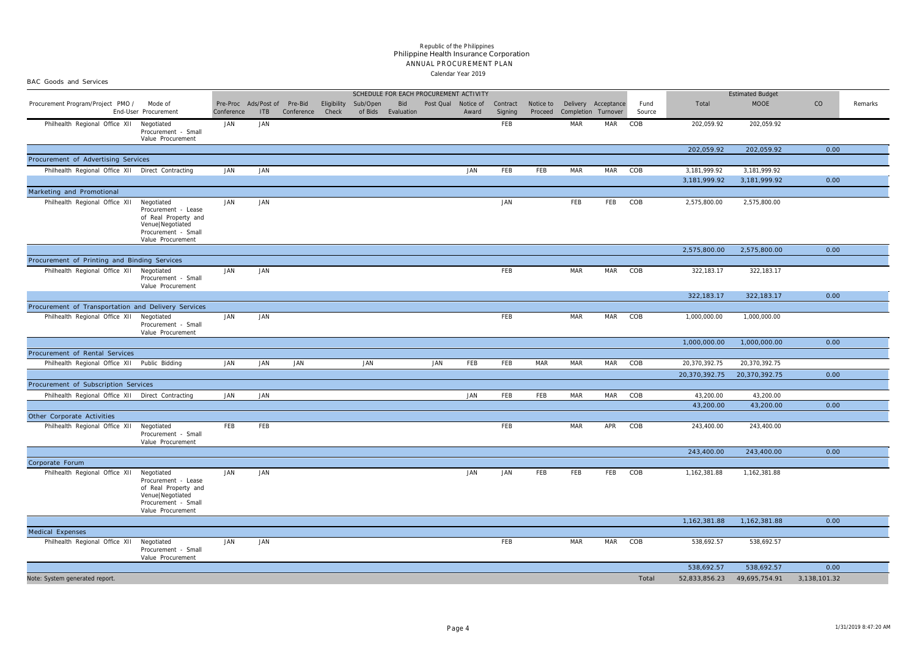BAC Goods and Services

#### Calendar Year 2019 ANNUAL PROCUREMENT PLAN Philippine Health Insurance Corporation *Republic of the Philippines*

|                                                                                       |                                                                                                                           | SCHEDULE FOR EACH PROCUREMENT ACTIVITY     |     |            |                      |                     |                   |                     |       |                     |            |            | <b>Estimated Budget</b>                              |                |               |               |              |         |
|---------------------------------------------------------------------------------------|---------------------------------------------------------------------------------------------------------------------------|--------------------------------------------|-----|------------|----------------------|---------------------|-------------------|---------------------|-------|---------------------|------------|------------|------------------------------------------------------|----------------|---------------|---------------|--------------|---------|
| Procurement Program/Project PMO /                                                     | Mode of<br>End-User Procurement                                                                                           | Pre-Proc Ads/Post of Pre-Bid<br>Conference | ITB | Conference | Eligibility<br>Check | Sub/Open<br>of Bids | Bid<br>Evaluation | Post Qual Notice of | Award | Contract<br>Signing | Proceed    |            | Notice to Delivery Acceptance<br>Completion Turnover | Fund<br>Source | Total         | <b>MOOE</b>   | CO           | Remarks |
| Philhealth Regional Office XII                                                        | Negotiated<br>Procurement - Small<br>Value Procurement                                                                    | JAN                                        | JAN |            |                      |                     |                   |                     |       | FEB                 |            | MAR        | <b>MAR</b>                                           | COB            | 202,059.92    | 202,059.92    |              |         |
| Procurement of Advertising Services                                                   |                                                                                                                           |                                            |     |            |                      |                     |                   |                     |       |                     |            |            |                                                      |                | 202,059.92    | 202,059.92    | 0.00         |         |
| Philhealth Regional Office XII Direct Contracting                                     |                                                                                                                           | JAN                                        | JAN |            |                      |                     |                   |                     | JAN   | FEB                 | FEB        | MAR        | MAR COB                                              |                | 3,181,999.92  | 3,181,999.92  |              |         |
|                                                                                       |                                                                                                                           |                                            |     |            |                      |                     |                   |                     |       |                     |            |            |                                                      |                | 3,181,999.92  | 3,181,999.92  | 0.00         |         |
| Marketing and Promotional                                                             |                                                                                                                           |                                            |     |            |                      |                     |                   |                     |       |                     |            |            |                                                      |                |               |               |              |         |
| Philhealth Regional Office XII                                                        | Negotiated<br>Procurement - Lease<br>of Real Property and<br>Venue Negotiated<br>Procurement - Small<br>Value Procurement | JAN                                        | JAN |            |                      |                     |                   |                     |       | JAN                 |            | FEB        | FEB                                                  | COB            | 2,575,800.00  | 2,575,800.00  |              |         |
|                                                                                       |                                                                                                                           |                                            |     |            |                      |                     |                   |                     |       |                     |            |            |                                                      |                | 2,575,800.00  | 2,575,800.00  | 0.00         |         |
| Procurement of Printing and Binding Services                                          |                                                                                                                           |                                            |     |            |                      |                     |                   |                     |       |                     |            |            |                                                      |                |               |               |              |         |
| Philhealth Regional Office XII                                                        | Negotiated<br>Procurement - Small<br>Value Procurement                                                                    | JAN                                        | JAN |            |                      |                     |                   |                     |       | FEB                 |            | MAR        | MAR                                                  | COB            | 322,183.17    | 322,183.17    |              |         |
|                                                                                       |                                                                                                                           |                                            |     |            |                      |                     |                   |                     |       |                     |            |            |                                                      |                | 322,183.17    | 322,183.17    | 0.00         |         |
| Procurement of Transportation and Delivery Services<br>Philhealth Regional Office XII | Negotiated<br>Procurement - Small                                                                                         | JAN                                        | JAN |            |                      |                     |                   |                     |       | FEB                 |            | MAR        | MAR                                                  | COB            | 1,000,000.00  | 1,000,000.00  |              |         |
|                                                                                       | Value Procurement                                                                                                         |                                            |     |            |                      |                     |                   |                     |       |                     |            |            |                                                      |                | 1,000,000.00  | 1,000,000.00  | 0.00         |         |
| Procurement of Rental Services                                                        |                                                                                                                           |                                            |     |            |                      |                     |                   |                     |       |                     |            |            |                                                      |                |               |               |              |         |
| Philhealth Regional Office XII Public Bidding                                         |                                                                                                                           | JAN                                        | JAN | JAN        |                      | JAN                 |                   | JAN                 | FEB   | FEB                 | <b>MAR</b> | MAR        | MAR                                                  | COB            | 20,370,392.75 | 20,370,392.75 |              |         |
|                                                                                       |                                                                                                                           |                                            |     |            |                      |                     |                   |                     |       |                     |            |            |                                                      |                | 20,370,392.75 | 20,370,392.75 | 0.00         |         |
| Procurement of Subscription Services                                                  |                                                                                                                           |                                            |     |            |                      |                     |                   |                     |       |                     |            |            |                                                      |                |               |               |              |         |
| Philhealth Regional Office XII Direct Contracting                                     |                                                                                                                           | JAN                                        | JAN |            |                      |                     |                   |                     | JAN   | FEB                 | FEB        | <b>MAR</b> | <b>MAR</b>                                           | COB            | 43,200.00     | 43,200.00     |              |         |
|                                                                                       |                                                                                                                           |                                            |     |            |                      |                     |                   |                     |       |                     |            |            |                                                      |                | 43,200.00     | 43,200.00     | 0.00         |         |
| Other Corporate Activities                                                            |                                                                                                                           |                                            |     |            |                      |                     |                   |                     |       |                     |            |            |                                                      |                |               |               |              |         |
| Philhealth Regional Office XII Negotiated                                             | Procurement - Small<br>Value Procurement                                                                                  | FEB                                        | FEB |            |                      |                     |                   |                     |       | FEB                 |            | MAR        | APR                                                  | COB            | 243,400.00    | 243,400.00    |              |         |
|                                                                                       |                                                                                                                           |                                            |     |            |                      |                     |                   |                     |       |                     |            |            |                                                      |                | 243,400.00    | 243,400.00    | 0.00         |         |
| Corporate Forum                                                                       |                                                                                                                           |                                            |     |            |                      |                     |                   |                     |       |                     |            |            |                                                      |                |               |               |              |         |
| Philhealth Regional Office XII                                                        | Negotiated<br>Procurement - Lease<br>of Real Property and<br>Venue Negotiated<br>Procurement - Small<br>Value Procurement | JAN                                        | JAN |            |                      |                     |                   |                     | JAN   | JAN                 | FEB        | FEB        | FEB                                                  | COB            | 1,162,381.88  | 1,162,381.88  |              |         |
|                                                                                       |                                                                                                                           |                                            |     |            |                      |                     |                   |                     |       |                     |            |            |                                                      |                | 1,162,381.88  | 1,162,381.88  | 0.00         |         |
| Medical Expenses                                                                      |                                                                                                                           |                                            |     |            |                      |                     |                   |                     |       |                     |            |            |                                                      |                |               |               |              |         |
| Philhealth Regional Office XII                                                        | Negotiated<br>Procurement - Small<br>Value Procurement                                                                    | JAN                                        | JAN |            |                      |                     |                   |                     |       | FEB                 |            | MAR        | <b>MAR</b>                                           | COB            | 538,692.57    | 538,692.57    |              |         |
|                                                                                       |                                                                                                                           |                                            |     |            |                      |                     |                   |                     |       |                     |            |            |                                                      |                | 538,692.57    | 538,692.57    | 0.00         |         |
| Note: System generated report.                                                        |                                                                                                                           |                                            |     |            |                      |                     |                   |                     |       |                     |            |            |                                                      | Total          | 52,833,856.23 | 49,695,754.91 | 3,138,101.32 |         |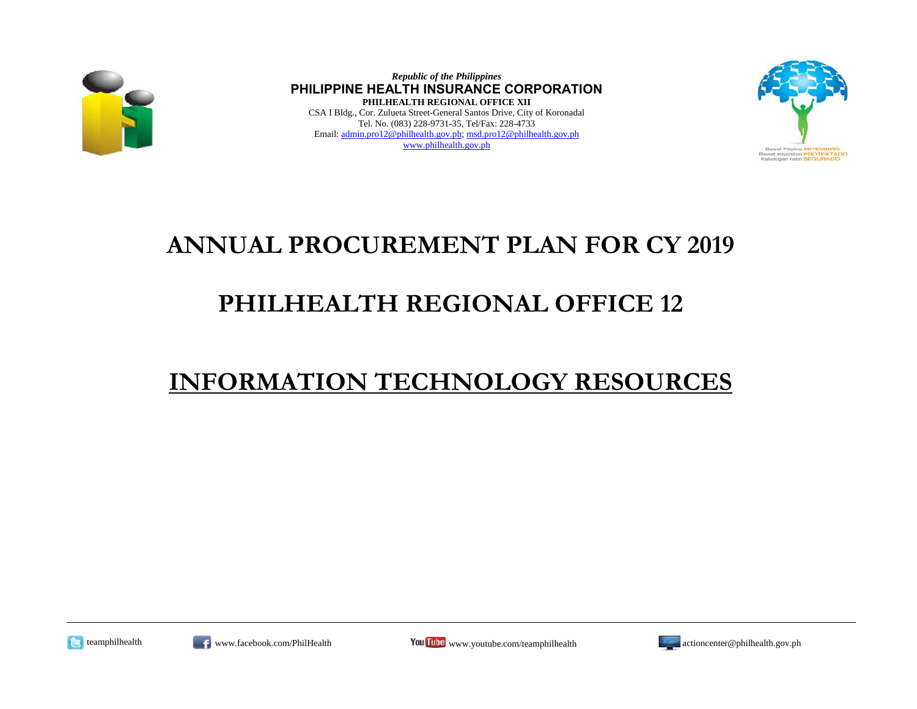

*Republic of the Philippines* **PHILIPPINE HEALTH INSURANCE CORPORATION PHILHEALTH REGIONAL OFFICE XII** CSA I Bldg., Cor. Zulueta Street-General Santos Drive, City of Koronadal Tel. No. (083) 228-9731-35, Tel/Fax: 228-4733 Email: admin.pro12@philhealth.gov.ph; msd.pro12@philhealth.gov.ph www.philhealth.gov.ph



### **ANNUAL PROCUREMENT PLAN FOR CY 2019**

## **PHILHEALTH REGIONAL OFFICE 12**

### **INFORMATION TECHNOLOGY RESOURCES**